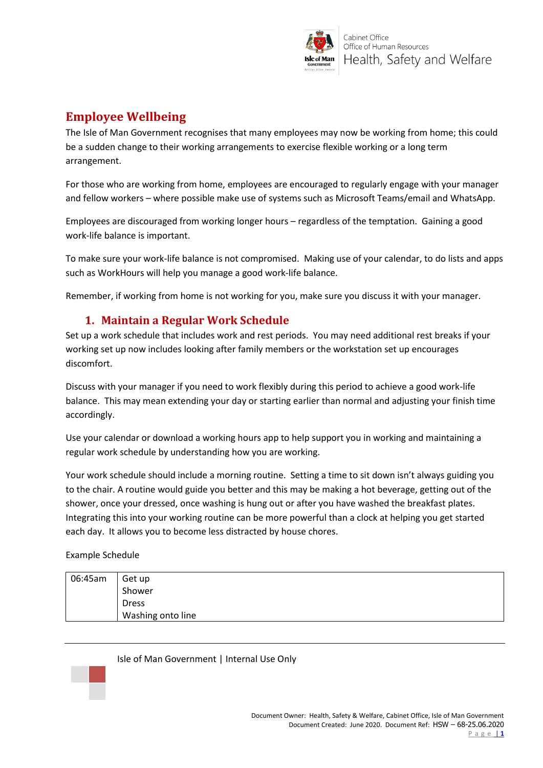

# **Employee Wellbeing**

The Isle of Man Government recognises that many employees may now be working from home; this could be a sudden change to their working arrangements to exercise flexible working or a long term arrangement.

For those who are working from home, employees are encouraged to regularly engage with your manager and fellow workers – where possible make use of systems such as Microsoft Teams/email and WhatsApp.

Employees are discouraged from working longer hours – regardless of the temptation. Gaining a good work-life balance is important.

To make sure your work-life balance is not compromised. Making use of your calendar, to do lists and apps such as WorkHours will help you manage a good work-life balance.

Remember, if working from home is not working for you, make sure you discuss it with your manager.

#### **1. Maintain a Regular Work Schedule**

Set up a work schedule that includes work and rest periods. You may need additional rest breaks if your working set up now includes looking after family members or the workstation set up encourages discomfort.

Discuss with your manager if you need to work flexibly during this period to achieve a good work-life balance. This may mean extending your day or starting earlier than normal and adjusting your finish time accordingly.

Use your calendar or download a working hours app to help support you in working and maintaining a regular work schedule by understanding how you are working.

Your work schedule should include a morning routine. Setting a time to sit down isn't always guiding you to the chair. A routine would guide you better and this may be making a hot beverage, getting out of the shower, once your dressed, once washing is hung out or after you have washed the breakfast plates. Integrating this into your working routine can be more powerful than a clock at helping you get started each day. It allows you to become less distracted by house chores.

Example Schedule

| 06:45am | Get up            |
|---------|-------------------|
|         | Shower            |
|         | <b>Dress</b>      |
|         | Washing onto line |

Isle of Man Government | Internal Use Only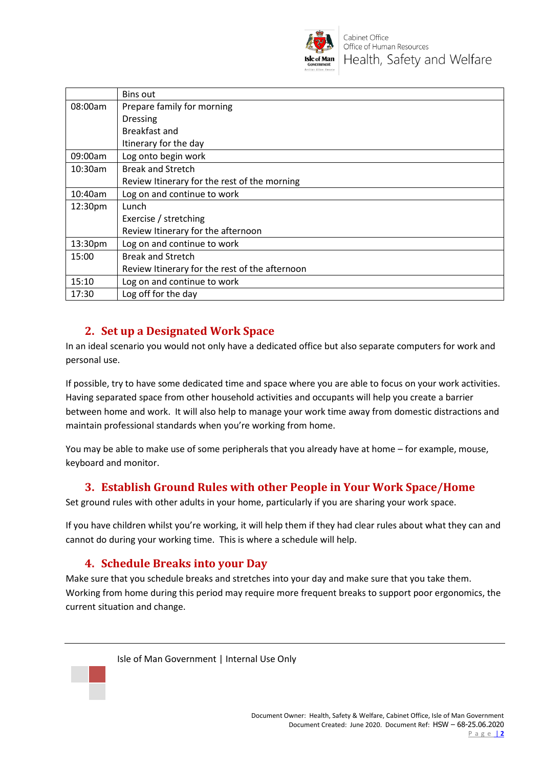

|            | Bins out                                       |
|------------|------------------------------------------------|
| 08:00am    | Prepare family for morning                     |
|            | <b>Dressing</b>                                |
|            | <b>Breakfast and</b>                           |
|            | Itinerary for the day                          |
| 09:00am    | Log onto begin work                            |
| $10:30$ am | <b>Break and Stretch</b>                       |
|            | Review Itinerary for the rest of the morning   |
| $10:40$ am | Log on and continue to work                    |
| 12:30pm    | Lunch                                          |
|            | Exercise / stretching                          |
|            | Review Itinerary for the afternoon             |
| 13:30pm    | Log on and continue to work                    |
| 15:00      | <b>Break and Stretch</b>                       |
|            | Review Itinerary for the rest of the afternoon |
| 15:10      | Log on and continue to work                    |
| 17:30      | Log off for the day                            |

### **2. Set up a Designated Work Space**

In an ideal scenario you would not only have a dedicated office but also separate computers for work and personal use.

If possible, try to have some dedicated time and space where you are able to focus on your work activities. Having separated space from other household activities and occupants will help you create a barrier between home and work. It will also help to manage your work time away from domestic distractions and maintain professional standards when you're working from home.

You may be able to make use of some peripherals that you already have at home – for example, mouse, keyboard and monitor.

### **3. Establish Ground Rules with other People in Your Work Space/Home**

Set ground rules with other adults in your home, particularly if you are sharing your work space.

If you have children whilst you're working, it will help them if they had clear rules about what they can and cannot do during your working time. This is where a schedule will help.

### **4. Schedule Breaks into your Day**

Make sure that you schedule breaks and stretches into your day and make sure that you take them. Working from home during this period may require more frequent breaks to support poor ergonomics, the current situation and change.

Isle of Man Government | Internal Use Only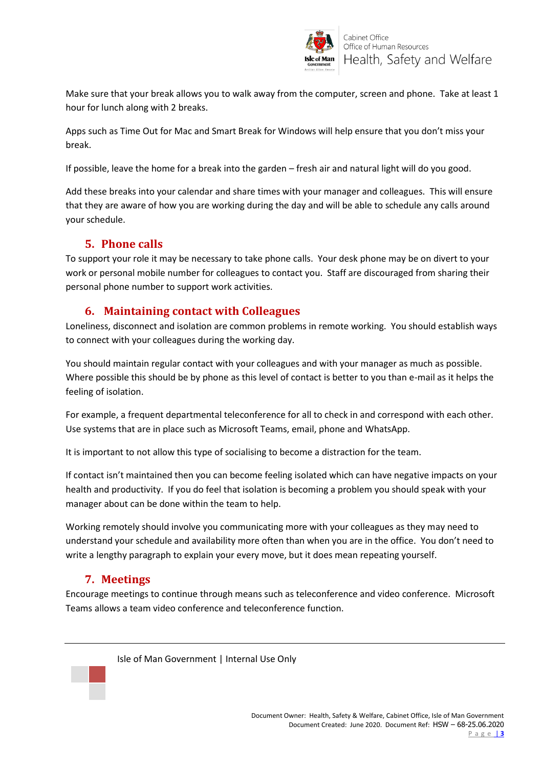

Make sure that your break allows you to walk away from the computer, screen and phone. Take at least 1 hour for lunch along with 2 breaks.

Apps such as Time Out for Mac and Smart Break for Windows will help ensure that you don't miss your break.

If possible, leave the home for a break into the garden – fresh air and natural light will do you good.

Add these breaks into your calendar and share times with your manager and colleagues. This will ensure that they are aware of how you are working during the day and will be able to schedule any calls around your schedule.

### **5. Phone calls**

To support your role it may be necessary to take phone calls. Your desk phone may be on divert to your work or personal mobile number for colleagues to contact you. Staff are discouraged from sharing their personal phone number to support work activities.

### **6. Maintaining contact with Colleagues**

Loneliness, disconnect and isolation are common problems in remote working. You should establish ways to connect with your colleagues during the working day.

You should maintain regular contact with your colleagues and with your manager as much as possible. Where possible this should be by phone as this level of contact is better to you than e-mail as it helps the feeling of isolation.

For example, a frequent departmental teleconference for all to check in and correspond with each other. Use systems that are in place such as Microsoft Teams, email, phone and WhatsApp.

It is important to not allow this type of socialising to become a distraction for the team.

If contact isn't maintained then you can become feeling isolated which can have negative impacts on your health and productivity. If you do feel that isolation is becoming a problem you should speak with your manager about can be done within the team to help.

Working remotely should involve you communicating more with your colleagues as they may need to understand your schedule and availability more often than when you are in the office. You don't need to write a lengthy paragraph to explain your every move, but it does mean repeating yourself.

# **7. Meetings**

Encourage meetings to continue through means such as teleconference and video conference. Microsoft Teams allows a team video conference and teleconference function.

Isle of Man Government | Internal Use Only